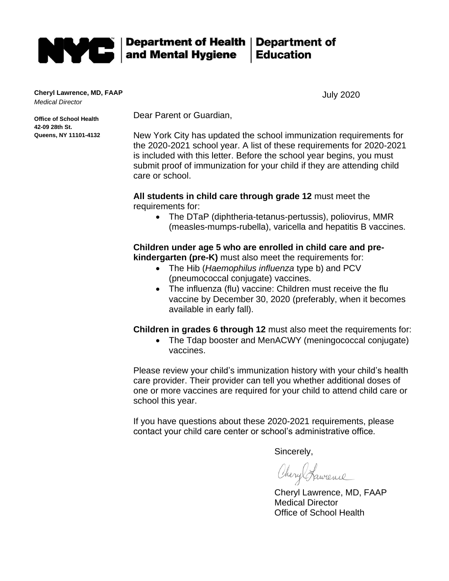

**Cheryl Lawrence, MD, FAAP** *Medical Director*

**Office of School Health** 

**Queens, NY 11101-4132**

**42-09 28th St.**

July 2020

Dear Parent or Guardian,

New York City has updated the school immunization requirements for the 2020-2021 school year. A list of these requirements for 2020-2021 is included with this letter. Before the school year begins, you must submit proof of immunization for your child if they are attending child care or school.

**All students in child care through grade 12** must meet the requirements for:

• The DTaP (diphtheria-tetanus-pertussis), poliovirus, MMR (measles-mumps-rubella), varicella and hepatitis B vaccines.

**Children under age 5 who are enrolled in child care and prekindergarten (pre-K)** must also meet the requirements for:

- The Hib (*Haemophilus influenza* type b) and PCV (pneumococcal conjugate) vaccines.
- The influenza (flu) vaccine: Children must receive the flu vaccine by December 30, 2020 (preferably, when it becomes available in early fall).

**Children in grades 6 through 12** must also meet the requirements for:

• The Tdap booster and MenACWY (meningococcal conjugate) vaccines.

Please review your child's immunization history with your child's health care provider. Their provider can tell you whether additional doses of one or more vaccines are required for your child to attend child care or school this year.

If you have questions about these 2020-2021 requirements, please contact your child care center or school's administrative office.

Sincerely,

Chery Sparence

Cheryl Lawrence, MD, FAAP Medical Director Office of School Health